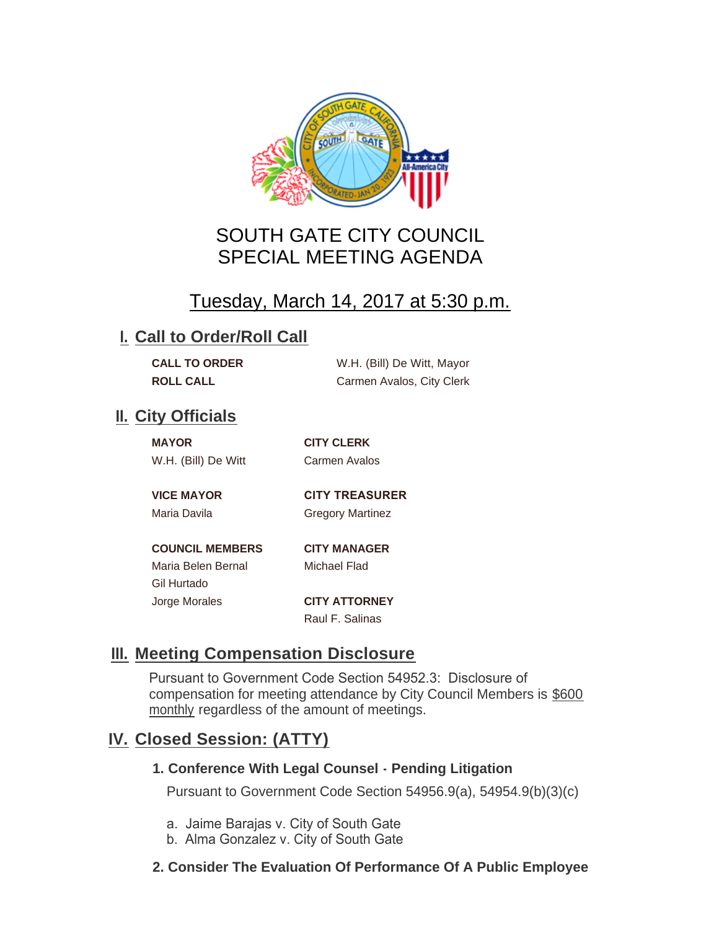

# SOUTH GATE CITY COUNCIL SPECIAL MEETING AGENDA

# Tuesday, March 14, 2017 at 5:30 p.m.

### **I. Call to Order/Roll Call**

| <b>CALL TO ORDER</b> | W.H. (Bill) De Witt, Mayor |
|----------------------|----------------------------|
| <b>ROLL CALL</b>     | Carmen Avalos, City Clerk  |

## **II.** City Officials

| <b>MAYOR</b>        |  |
|---------------------|--|
| W.H. (Bill) De Witt |  |

**MAYOR CITY CLERK** Carmen Avalos

**VICE MAYOR CITY TREASURER** 

Maria Davila **Gregory Martinez** 

**COUNCIL MEMBERS CITY MANAGER** Maria Belen Bernal Michael Flad Gil Hurtado Jorge Morales **CITY ATTORNEY**

Raul F. Salinas

# **Meeting Compensation Disclosure III.**

Pursuant to Government Code Section 54952.3: Disclosure of compensation for meeting attendance by City Council Members is \$600 monthly regardless of the amount of meetings.

## **Closed Session: (ATTY) IV.**

#### **1. Conference With Legal Counsel - Pending Litigation**

Pursuant to Government Code Section 54956.9(a), 54954.9(b)(3)(c)

- a. Jaime Barajas v. City of South Gate
- b. Alma Gonzalez v. City of South Gate
- **2. Consider The Evaluation Of Performance Of A Public Employee**